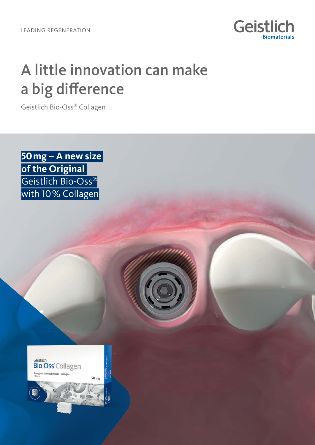

## A little innovation can make a big difference

Geistlich Bio-Oss® Collagen

**50 mg – A new size of the Original**  Geistlich Bio-Oss® with 10% Collagen

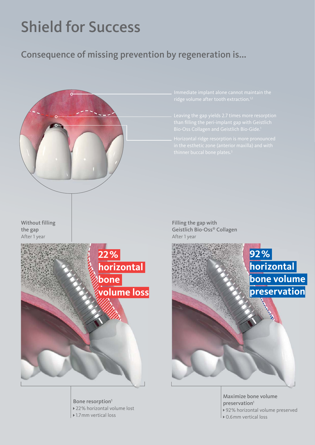# Shield for Success

## Consequence of missing prevention by regeneration is...



Bone resorption<sup>1</sup> 22% horizontal volume lost ▶ 1.7mm vertical loss

Maximize bone volume preservation<sup>1</sup> ▶ 92% horizontal volume preserved **D** 0.6mm vertical loss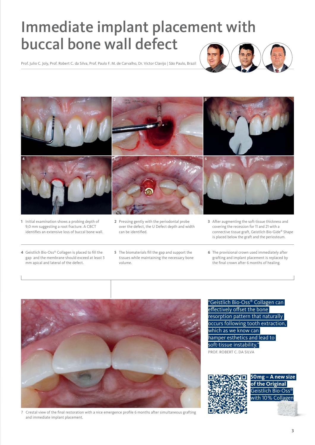## Immediate implant placement with buccal bone wall defect

Prof. Julio C. Joly, Prof. Robert C. da Silva, Prof. Paulo F. M. de Carvalho, Dr. Victor Clavijo | São Paulo, Brazil





- **1** Initial examination shows a probing depth of 9,0 mm suggesting a root fracture. A CBCT identifies an extensive loss of buccal bone wall.
- **2** Pressing gently with the periodontal probe over the defect, the U Defect depth and width can be identified.
- **3** After augmenting the soft-tissue thickness and covering the recession for 11 and 21 with a connective tissue graft, Geistlich Bio-Gide® Shape is placed below the graft and the periosteum.

- **4** Geistlich Bio-Oss® Collagen is placed to fill the gap and the membrane should exceed at least 3 mm apical and lateral of the defect.
- **5** The biomaterials fill the gap and support the tissues while maintaining the necessary bone volume.
- **6** The provisional crown used immediately after grafting and implant placement is replaced by the final crown after 6 months of healing.



7 Crestal view of the final restoration with a nice emergence profile 6 months after simultaneous grafting and immediate implant placement.

"Geistlich Bio-Oss® Collagen can effectively offset the bone resorption pattern that naturally occurs following tooth extraction, which as we know can hamper esthetics and lead to soft-tissue instability."

PROF. ROBERT C. DA SILVA



**50mg – A new size of the Original**  Geistlich Bio-Oss® with 10% Collagen